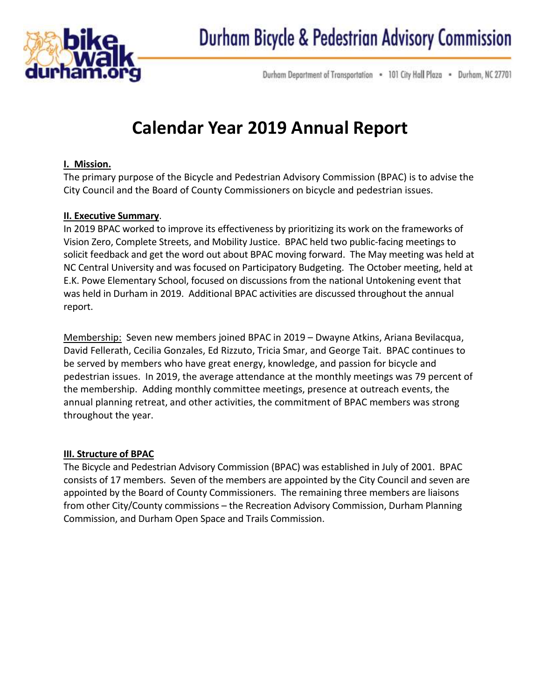

Durham Department of Transportation . 101 City Hall Plaza . Durham, NC 27701

# **Calendar Year 2019 Annual Report**

#### **I. Mission.**

The primary purpose of the Bicycle and Pedestrian Advisory Commission (BPAC) is to advise the City Council and the Board of County Commissioners on bicycle and pedestrian issues.

#### **II. Executive Summary**.

In 2019 BPAC worked to improve its effectiveness by prioritizing its work on the frameworks of Vision Zero, Complete Streets, and Mobility Justice. BPAC held two public-facing meetings to solicit feedback and get the word out about BPAC moving forward. The May meeting was held at NC Central University and was focused on Participatory Budgeting. The October meeting, held at E.K. Powe Elementary School, focused on discussions from the national Untokening event that was held in Durham in 2019. Additional BPAC activities are discussed throughout the annual report.

Membership: Seven new members joined BPAC in 2019 – Dwayne Atkins, Ariana Bevilacqua, David Fellerath, Cecilia Gonzales, Ed Rizzuto, Tricia Smar, and George Tait. BPAC continues to be served by members who have great energy, knowledge, and passion for bicycle and pedestrian issues. In 2019, the average attendance at the monthly meetings was 79 percent of the membership. Adding monthly committee meetings, presence at outreach events, the annual planning retreat, and other activities, the commitment of BPAC members was strong throughout the year.

#### **III. Structure of BPAC**

The Bicycle and Pedestrian Advisory Commission (BPAC) was established in July of 2001. BPAC consists of 17 members. Seven of the members are appointed by the City Council and seven are appointed by the Board of County Commissioners. The remaining three members are liaisons from other City/County commissions – the Recreation Advisory Commission, Durham Planning Commission, and Durham Open Space and Trails Commission.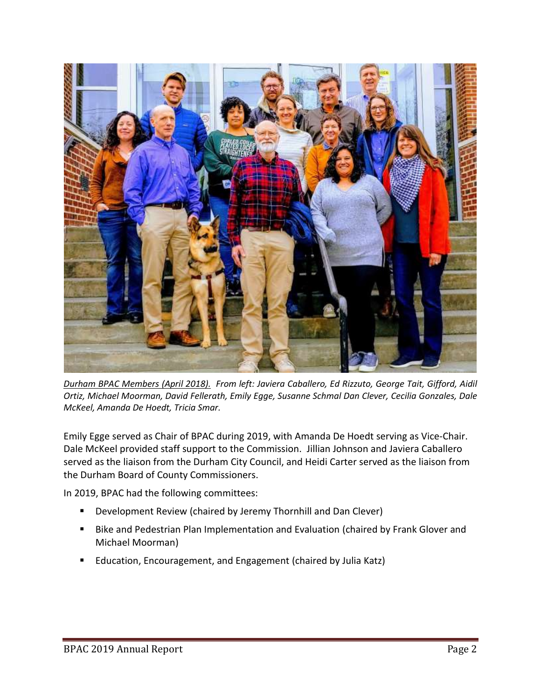

*Durham BPAC Members (April 2018). From left: Javiera Caballero, Ed Rizzuto, George Tait, Gifford, Aidil Ortiz, Michael Moorman, David Fellerath, Emily Egge, Susanne Schmal Dan Clever, Cecilia Gonzales, Dale McKeel, Amanda De Hoedt, Tricia Smar.*

Emily Egge served as Chair of BPAC during 2019, with Amanda De Hoedt serving as Vice-Chair. Dale McKeel provided staff support to the Commission. Jillian Johnson and Javiera Caballero served as the liaison from the Durham City Council, and Heidi Carter served as the liaison from the Durham Board of County Commissioners.

In 2019, BPAC had the following committees:

- Development Review (chaired by Jeremy Thornhill and Dan Clever)
- Bike and Pedestrian Plan Implementation and Evaluation (chaired by Frank Glover and Michael Moorman)
- Education, Encouragement, and Engagement (chaired by Julia Katz)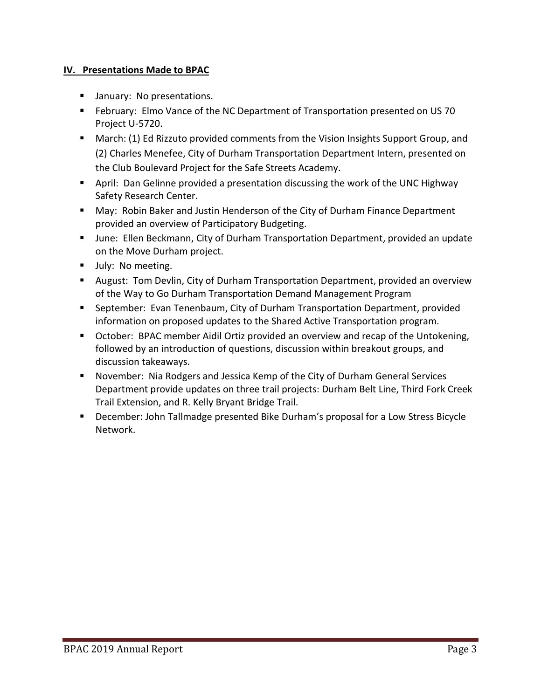#### **IV. Presentations Made to BPAC**

- **■** January: No presentations.
- February: Elmo Vance of the NC Department of Transportation presented on US 70 Project U-5720.
- March: (1) Ed Rizzuto provided comments from the Vision Insights Support Group, and (2) Charles Menefee, City of Durham Transportation Department Intern, presented on the Club Boulevard Project for the Safe Streets Academy.
- April: Dan Gelinne provided a presentation discussing the work of the UNC Highway Safety Research Center.
- May: Robin Baker and Justin Henderson of the City of Durham Finance Department provided an overview of Participatory Budgeting.
- June: Ellen Beckmann, City of Durham Transportation Department, provided an update on the Move Durham project.
- **■** July: No meeting.
- August: Tom Devlin, City of Durham Transportation Department, provided an overview of the Way to Go Durham Transportation Demand Management Program
- September: Evan Tenenbaum, City of Durham Transportation Department, provided information on proposed updates to the Shared Active Transportation program.
- October: BPAC member Aidil Ortiz provided an overview and recap of the Untokening, followed by an introduction of questions, discussion within breakout groups, and discussion takeaways.
- November: Nia Rodgers and Jessica Kemp of the City of Durham General Services Department provide updates on three trail projects: Durham Belt Line, Third Fork Creek Trail Extension, and R. Kelly Bryant Bridge Trail.
- December: John Tallmadge presented Bike Durham's proposal for a Low Stress Bicycle Network.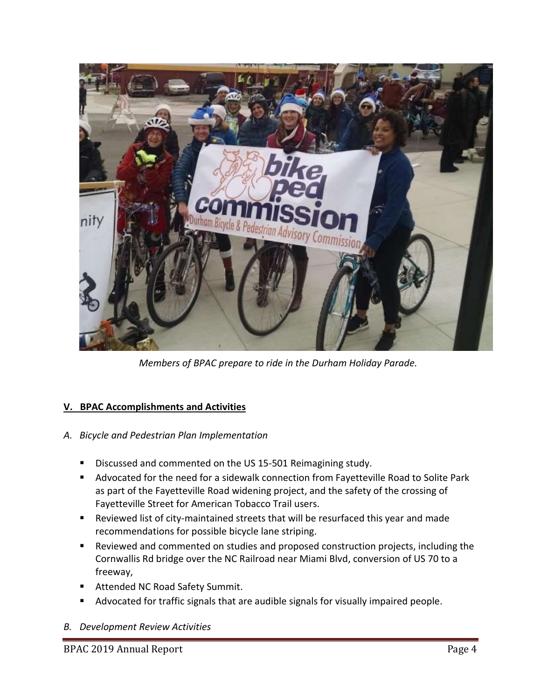

*Members of BPAC prepare to ride in the Durham Holiday Parade.*

## **V. BPAC Accomplishments and Activities**

#### *A. Bicycle and Pedestrian Plan Implementation*

- Discussed and commented on the US 15-501 Reimagining study.
- Advocated for the need for a sidewalk connection from Fayetteville Road to Solite Park as part of the Fayetteville Road widening project, and the safety of the crossing of Fayetteville Street for American Tobacco Trail users.
- Reviewed list of city-maintained streets that will be resurfaced this year and made recommendations for possible bicycle lane striping.
- Reviewed and commented on studies and proposed construction projects, including the Cornwallis Rd bridge over the NC Railroad near Miami Blvd, conversion of US 70 to a freeway,
- Attended NC Road Safety Summit.
- Advocated for traffic signals that are audible signals for visually impaired people.

#### *B. Development Review Activities*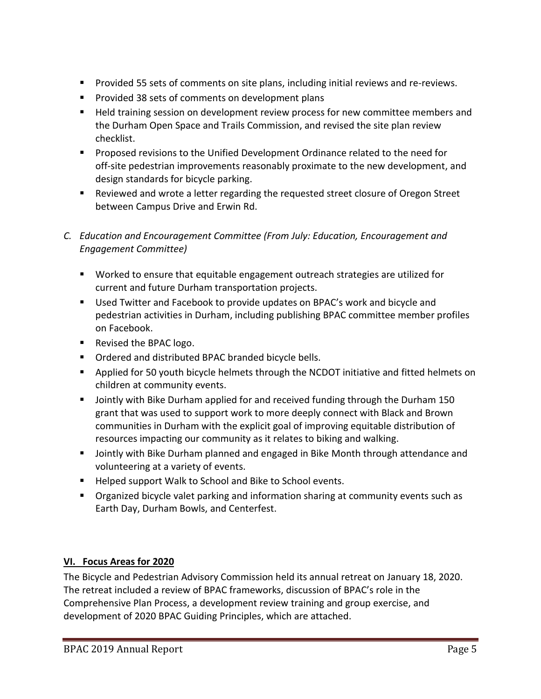- Provided 55 sets of comments on site plans, including initial reviews and re-reviews.
- Provided 38 sets of comments on development plans
- Held training session on development review process for new committee members and the Durham Open Space and Trails Commission, and revised the site plan review checklist.
- Proposed revisions to the Unified Development Ordinance related to the need for off‐site pedestrian improvements reasonably proximate to the new development, and design standards for bicycle parking.
- Reviewed and wrote a letter regarding the requested street closure of Oregon Street between Campus Drive and Erwin Rd.
- *C. Education and Encouragement Committee (From July: Education, Encouragement and Engagement Committee)*
	- Worked to ensure that equitable engagement outreach strategies are utilized for current and future Durham transportation projects.
	- Used Twitter and Facebook to provide updates on BPAC's work and bicycle and pedestrian activities in Durham, including publishing BPAC committee member profiles on Facebook.
	- Revised the BPAC logo.
	- Ordered and distributed BPAC branded bicycle bells.
	- Applied for 50 youth bicycle helmets through the NCDOT initiative and fitted helmets on children at community events.
	- Jointly with Bike Durham applied for and received funding through the Durham 150 grant that was used to support work to more deeply connect with Black and Brown communities in Durham with the explicit goal of improving equitable distribution of resources impacting our community as it relates to biking and walking.
	- Jointly with Bike Durham planned and engaged in Bike Month through attendance and volunteering at a variety of events.
	- Helped support Walk to School and Bike to School events.
	- **•** Organized bicycle valet parking and information sharing at community events such as Earth Day, Durham Bowls, and Centerfest.

## **VI. Focus Areas for 2020**

The Bicycle and Pedestrian Advisory Commission held its annual retreat on January 18, 2020. The retreat included a review of BPAC frameworks, discussion of BPAC's role in the Comprehensive Plan Process, a development review training and group exercise, and development of 2020 BPAC Guiding Principles, which are attached.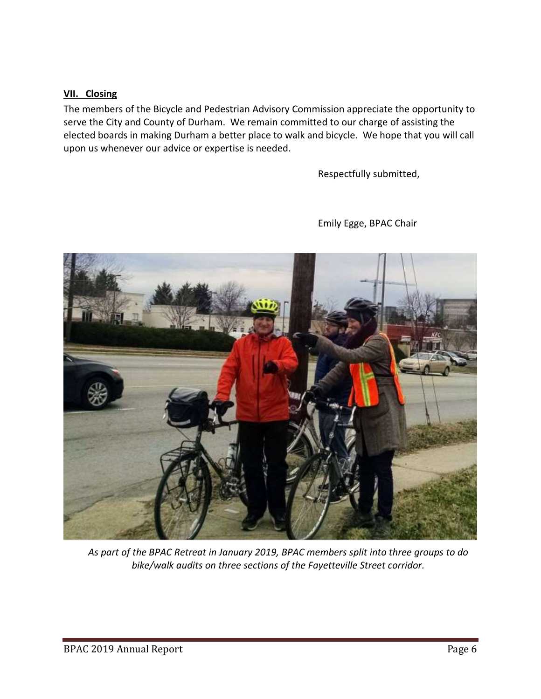#### **VII. Closing**

The members of the Bicycle and Pedestrian Advisory Commission appreciate the opportunity to serve the City and County of Durham. We remain committed to our charge of assisting the elected boards in making Durham a better place to walk and bicycle. We hope that you will call upon us whenever our advice or expertise is needed.

Respectfully submitted,



Emily Egge, BPAC Chair

*As part of the BPAC Retreat in January 2019, BPAC members split into three groups to do bike/walk audits on three sections of the Fayetteville Street corridor.*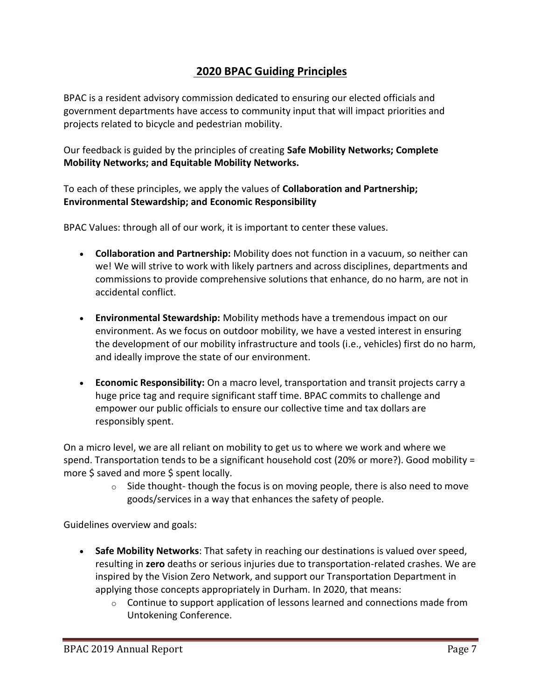# **2020 BPAC Guiding Principles**

BPAC is a resident advisory commission dedicated to ensuring our elected officials and government departments have access to community input that will impact priorities and projects related to bicycle and pedestrian mobility.

Our feedback is guided by the principles of creating **Safe Mobility Networks; Complete Mobility Networks; and Equitable Mobility Networks.**

To each of these principles, we apply the values of **Collaboration and Partnership; Environmental Stewardship; and Economic Responsibility**

BPAC Values: through all of our work, it is important to center these values.

- **Collaboration and Partnership:** Mobility does not function in a vacuum, so neither can we! We will strive to work with likely partners and across disciplines, departments and commissions to provide comprehensive solutions that enhance, do no harm, are not in accidental conflict.
- **Environmental Stewardship:** Mobility methods have a tremendous impact on our environment. As we focus on outdoor mobility, we have a vested interest in ensuring the development of our mobility infrastructure and tools (i.e., vehicles) first do no harm, and ideally improve the state of our environment.
- **Economic Responsibility:** On a macro level, transportation and transit projects carry a huge price tag and require significant staff time. BPAC commits to challenge and empower our public officials to ensure our collective time and tax dollars are responsibly spent.

On a micro level, we are all reliant on mobility to get us to where we work and where we spend. Transportation tends to be a significant household cost (20% or more?). Good mobility = more \$ saved and more \$ spent locally.

> $\circ$  Side thought- though the focus is on moving people, there is also need to move goods/services in a way that enhances the safety of people.

Guidelines overview and goals:

- **Safe Mobility Networks**: That safety in reaching our destinations is valued over speed, resulting in **zero** deaths or serious injuries due to transportation-related crashes. We are inspired by the Vision Zero Network, and support our Transportation Department in applying those concepts appropriately in Durham. In 2020, that means:
	- $\circ$  Continue to support application of lessons learned and connections made from Untokening Conference.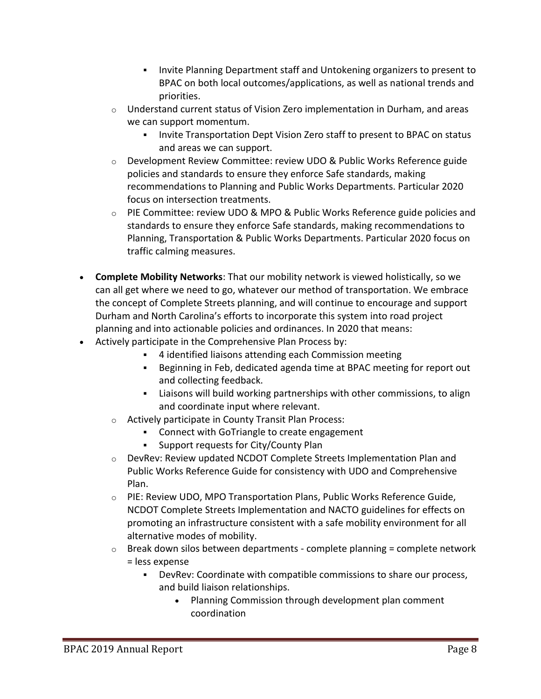- **Invite Planning Department staff and Untokening organizers to present to** BPAC on both local outcomes/applications, as well as national trends and priorities.
- $\circ$  Understand current status of Vision Zero implementation in Durham, and areas we can support momentum.
	- **Invite Transportation Dept Vision Zero staff to present to BPAC on status** and areas we can support.
- $\circ$  Development Review Committee: review UDO & Public Works Reference guide policies and standards to ensure they enforce Safe standards, making recommendations to Planning and Public Works Departments. Particular 2020 focus on intersection treatments.
- o PIE Committee: review UDO & MPO & Public Works Reference guide policies and standards to ensure they enforce Safe standards, making recommendations to Planning, Transportation & Public Works Departments. Particular 2020 focus on traffic calming measures.
- **Complete Mobility Networks**: That our mobility network is viewed holistically, so we can all get where we need to go, whatever our method of transportation. We embrace the concept of Complete Streets planning, and will continue to encourage and support Durham and North Carolina's efforts to incorporate this system into road project planning and into actionable policies and ordinances. In 2020 that means:
- Actively participate in the Comprehensive Plan Process by:
	- 4 identified liaisons attending each Commission meeting
	- Beginning in Feb, dedicated agenda time at BPAC meeting for report out and collecting feedback.
	- Liaisons will build working partnerships with other commissions, to align and coordinate input where relevant.
	- o Actively participate in County Transit Plan Process:
		- Connect with GoTriangle to create engagement
		- Support requests for City/County Plan
	- o DevRev: Review updated NCDOT Complete Streets Implementation Plan and Public Works Reference Guide for consistency with UDO and Comprehensive Plan.
	- o PIE: Review UDO, MPO Transportation Plans, Public Works Reference Guide, NCDOT Complete Streets Implementation and NACTO guidelines for effects on promoting an infrastructure consistent with a safe mobility environment for all alternative modes of mobility.
	- $\circ$  Break down silos between departments complete planning = complete network = less expense
		- DevRev: Coordinate with compatible commissions to share our process, and build liaison relationships.
			- Planning Commission through development plan comment coordination